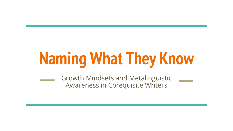# **Naming What They Know**

Growth Mindsets and Metalinguistic Awareness in Corequisite Writers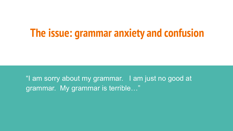# **The issue: grammar anxiety and confusion**

"I am sorry about my grammar. I am just no good at grammar. My grammar is terrible…"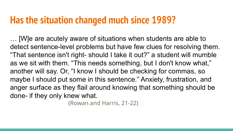#### **Has the situation changed much since 1989?**

… [W]e are acutely aware of situations when students are able to detect sentence-level problems but have few clues for resolving them. "That sentence isn't right- should I take it out?" a student will mumble as we sit with them. "This needs something, but I don't know what," another will say. Or, "I know I should be checking for commas, so maybe I should put some in this sentence." Anxiety, frustration, and anger surface as they flail around knowing that something should be done- if they only knew what.

(Rowan and Harris, 21-22)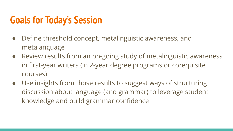#### **Goals for Today's Session**

- Define threshold concept, metalinguistic awareness, and metalanguage
- Review results from an on-going study of metalinguistic awareness in first-year writers (in 2-year degree programs or corequisite courses).
- Use insights from those results to suggest ways of structuring discussion about language (and grammar) to leverage student knowledge and build grammar confidence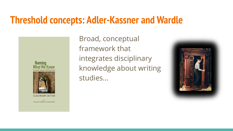#### **Threshold concepts: Adler-Kassner and Wardle**

**Naming** 

**CLASSROOM EDITION** 

**NOA ADLER-KASSNER AO ELIZABETH WARDLE** 

Broad, conceptual framework that integrates disciplinary knowledge about writing studies...

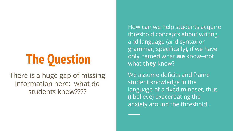# **The Question**

There is a huge gap of missing information here: what do students know????

How can we help students acquire threshold concepts about writing and language (and syntax or grammar, specifically), if we have only named what **we** know--not what **they** know?

We assume deficits and frame student knowledge in the language of a fixed mindset, thus (I believe) exacerbating the anxiety around the threshold...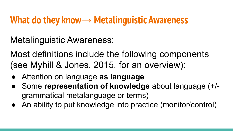#### **What do they know→ Metalinguistic Awareness**

Metalinguistic Awareness:

Most definitions include the following components (see Myhill & Jones, 2015, for an overview):

- Attention on language **as language**
- Some representation of knowledge about language (+/grammatical metalanguage or terms)
- An ability to put knowledge into practice (monitor/control)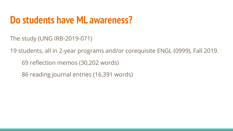#### **Do students have ML awareness?**

The study (UNG IRB-2019-071)

19 students, all in 2-year programs and/or corequisite ENGL (0999), Fall 2019.

69 reflection memos (30,202 words)

86 reading journal entries (16,391 words)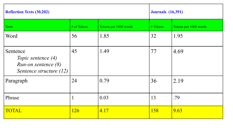| <b>Reflection Texts (30,202)</b>                                                 |             |                       |          | <b>Journals</b> (16,391) |  |
|----------------------------------------------------------------------------------|-------------|-----------------------|----------|--------------------------|--|
| Term                                                                             | # of Tokens | Tokens per 1000 words | # Tokens | Tokens per 1000 words    |  |
| Word                                                                             | 56          | 1.85                  | 32       | 1.95                     |  |
| Sentence<br>Topic sentence (4)<br>Run-on sentence (8)<br>Sentence structure (12) | 45          | 1.49                  | 77       | 4.69                     |  |
| Paragraph                                                                        | 24          | 0.79                  | 36       | 2.19                     |  |
| Phrase                                                                           |             | 0.03                  | 13       | .79                      |  |
| <b>TOTAL</b>                                                                     | 126         | 4.17                  | 158      | 9.63                     |  |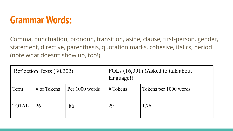

Comma, punctuation, pronoun, transition, aside, clause, first-person, gender, statement, directive, parenthesis, quotation marks, cohesive, italics, period (note what doesn't show up, too!)

| Reflection Texts (30,202) |                | FOLs (16,391) (Asked to talk about<br>language!) |            |                       |
|---------------------------|----------------|--------------------------------------------------|------------|-----------------------|
| Term                      | $\#$ of Tokens | Per 1000 words                                   | $#T$ okens | Tokens per 1000 words |
| <b>TOTAL</b>              | 26             | .86                                              | 29         | 1.76                  |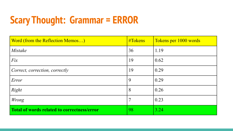# **Scary Thought: Grammar = ERROR**

| Word (from the Reflection Memos)                   | $\#T$ okens | Tokens per 1000 words |
|----------------------------------------------------|-------------|-----------------------|
| <i>Mistake</i>                                     | 36          | 1.19                  |
| Fix                                                | 19          | 0.62                  |
| Correct, correction, correctly                     | 19          | 0.29                  |
| Error                                              | 9           | 0.29                  |
| Right                                              | 8           | 0.26                  |
| Wrong                                              |             | 0.23                  |
| <b>Total of words related to correctness/error</b> | 98          | 3.24                  |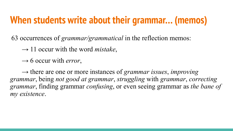#### **When students write about their grammar… (memos)**

63 occurrences of *grammar/grammatical* in the reflection memos:

 $\rightarrow$  11 occur with the word *mistake*,

 $\rightarrow$  6 occur with *error*,

→ there are one or more instances of *grammar issues*, *improving grammar*, being *not good at grammar*, *struggling* with *grammar*, *correcting grammar*, finding grammar *confusing*, or even seeing grammar as *the bane of my existence*.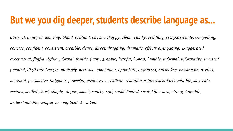#### **But we you dig deeper, students describe language as...**

*abstract, annoyed, amazing, bland, brilliant, cheesy*, *choppy*, *clean*, *clunky*, *coddling, compassionate, compelling, concise, confident, consistent, credible, dense, direct, dragging, dramatic, effective, engaging, exaggerated, exceptional, fluff-and-filler*, *formal, frantic, funny, graphic, helpful, honest, humble, informal, informative, invested, jumbled*, *Big/Little League*, *motherly, nervous, nonchalant, optimistic, organized, outspoken, passionate, perfect, personal, persuasive, poignant, powerful, pushy, raw*, *realistic, relatable, relaxed scholarly, reliable, sarcastic, serious, settled, short, simple, sloppy*, *smart, snarky, soft, sophisticated, straightforward, strong, tangible, understandable, unique, uncomplicated, violent.*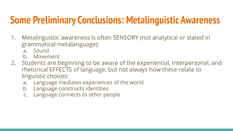### **Some Preliminary Conclusions: Metalinguistic Awareness**

- 1. Metalinguistic awareness is often SENSORY (not analytical or stated in grammatical metalanguage):
	- a. Sound
	- b. Movement
- 2. Students are beginning to be aware of the experiential, interpersonal, and rhetorical EFFECTS of language, but not always how these relate to linguistic choices:
	- a. Language mediates experiences of the world
	- b. Language constructs identities
	- c. Language connects to other people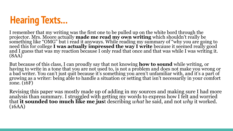

I remember that my writing was the first one to be pulled up on the white bord through the projector. Mrs. Moore actually **made me read my own writing** which shouldn't really be something like "OMG" but i read it anyways. While reading my summary of "why you are going to need this for college **I was actually impressed the way I write** because it seemed really good and I guess that was my reaction because I only read that once and that was while I was writing it. (8AA)

But because of this class, I can proudly say that not knowing **how to sound** while writing, or having to write in a tone that you are not used to, is not a problem and does not make you wrong or a bad writer. You can't just quit because it's something you aren't unfamiliar with, and it's a part of growing as a writer: being able to handle a situation or setting that isn't necessarily in your comfort zone. (16F)

Revising this paper was mostly made up of adding in my sources and making sure I had more analysis than summary. I struggled with getting my words to express how I felt and worried that **it sounded too much like me jus**t describing *what* he said, and not *why* it worked. (16AA)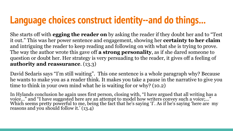# **Language choices construct identity--and do things...**

She starts off with **egging the reader on** by asking the reader if they doubt her and to "Test it out." This was her power sentence and engagement, showing her **certainty to her claim** and intriguing the reader to keep reading and following on with what she is trying to prove. The way the author wrote this gave off **a strong personality**, as if she dared someone to question or doubt her. Her strategy is very persuading to the reader, it gives off a feeling of **authority and reassurance**. (13.3)

David Sedaris says "I'm still waiting". This one sentence is a whole paragraph why? Because he wants to make you as a reader think. It makes you take a pause in the narrative to give you time to think in your own mind what he is waiting for or why? (10.2)

In Hylands conclusion he again uses first person, closing with, "I have argued that all writing has a voice..." and "I have suggested here are an attempt to model how writers convey such a voice;..." Which seems pretty powerful to me, being the fact that he's saying 'I'. As if he's saying 'here are my reasons and you should follow it.' (13.4)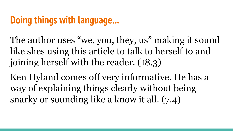### **Doing things with language...**

The author uses "we, you, they, us" making it sound like shes using this article to talk to herself to and joining herself with the reader. (18.3)

Ken Hyland comes off very informative. He has a way of explaining things clearly without being snarky or sounding like a know it all. (7.4)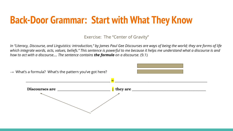#### **Back-Door Grammar: Start with What They Know**

Exercise: The "Center of Gravity"

*In "Literacy, Discourse, and Linguistics: introduction," by James Paul Gee Discourses are ways of being the world; they are forms of life which integrate words, acts, values, beliefs." This sentence is powerful to me because it helps me understand what a discourse is and how to act with a discourse…. The sentence contains the formula on a discourse*. (9.1)

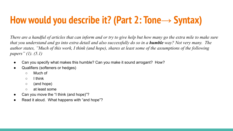# **How would you describe it? (Part 2: Tone→ Syntax)**

*There are a handful of articles that can inform and or try to give help but how many go the extra mile to make sure that you understand and go into extra detail and also successfully do so in a humble way? Not very many. The author states, "Much of this work, I think (and hope), shares at least some of the assumptions of the following papers" (1). (5.1)*

- Can you specify what makes this humble? Can you make it sound arrogant? How?
- Qualifiers (softeners or hedges)
	- Much of
	- I think
	- (and hope)
	- at least some
- Can you move the "I think (and hope)"?
- Read it aloud. What happens with "and hope"?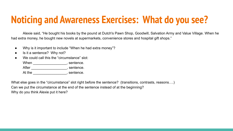# **Noticing and Awareness Exercises: What do you see?**

Alexie said, "He bought his books by the pound at Dutch's Pawn Shop, Goodwill, Salvation Army and Value Village. When he had extra money, he bought new novels at supermarkets, convenience stores and hospital gift shops."

- Why is it important to include "When he had extra money"?
- Is it a sentence? Why not?
- We could call this the "circumstance" slot:

When \_\_\_\_\_\_\_\_\_\_\_\_\_\_\_\_\_\_\_\_, sentence. After \_\_\_\_\_\_\_\_\_\_\_\_\_\_\_\_\_\_\_\_\_, sentence. At the the sentence.

What else goes in the "circumstance" slot right before the sentence? (transitions, contrasts, reasons….) Can we put the circumstance at the end of the sentence instead of at the beginning? Why do you think Alexie put it here?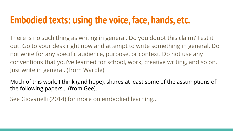#### **Embodied texts: using the voice, face, hands, etc.**

There is no such thing as writing in general. Do you doubt this claim? Test it out. Go to your desk right now and attempt to write something in general. Do not write for any specific audience, purpose, or context. Do not use any conventions that you've learned for school, work, creative writing, and so on. Just write in general. (from Wardle)

Much of this work, I think (and hope), shares at least some of the assumptions of the following papers… (from Gee).

See Giovanelli (2014) for more on embodied learning...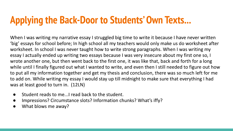# **Applying the Back-Door to Students' Own Texts...**

When I was writing my narrative essay I struggled big time to write it because I have never written 'big' essays for school before; In high school all my teachers would only make us do worksheet after worksheet. In school I was never taught how to write strong paragraphs. When I was writing my essay I actually ended up writing two essays because I was very insecure about my first one so, I wrote another one, but then went back to the first one, it was like that, back and forth for a long while until I finally figured out what I wanted to write, and even then I still needed to figure out how to put all my information together and get my thesis and conclusion, there was so much left for me to add on. While writing my essay I would stay up till midnight to make sure that everything I had was at least good to turn in. (12LN)

- $\bullet$ Student reads to me... read back to the student.
- Impressions? Circumstance slots? Information chunks? What's iffy? ●
- $\bullet$ What blows me away?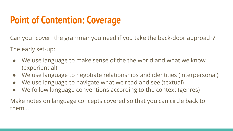# **Point of Contention: Coverage**

Can you "cover" the grammar you need if you take the back-door approach?

The early set-up:

- We use language to make sense of the the world and what we know (experiential)
- We use language to negotiate relationships and identities (interpersonal)
- We use language to navigate what we read and see (textual)
- We follow language conventions according to the context (genres)

Make notes on language concepts covered so that you can circle back to them...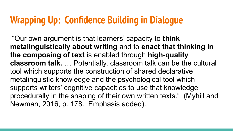### **Wrapping Up: Confidence Building in Dialogue**

 "Our own argument is that learners' capacity to **think metalinguistically about writing** and to **enact that thinking in the composing of text** is enabled through **high-quality classroom talk.** … Potentially, classroom talk can be the cultural tool which supports the construction of shared declarative metalinguistic knowledge and the psychological tool which supports writers' cognitive capacities to use that knowledge procedurally in the shaping of their own written texts." (Myhill and Newman, 2016, p. 178. Emphasis added).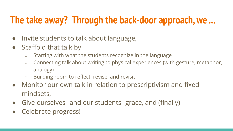### **The take away? Through the back-door approach, we ...**

- Invite students to talk about language,
- Scaffold that talk by
	- Starting with what the students recognize in the language
	- Connecting talk about writing to physical experiences (with gesture, metaphor, analogy)
	- Building room to reflect, revise, and revisit
- Monitor our own talk in relation to prescriptivism and fixed mindsets,
- Give ourselves--and our students--grace, and (finally)
- Celebrate progress!